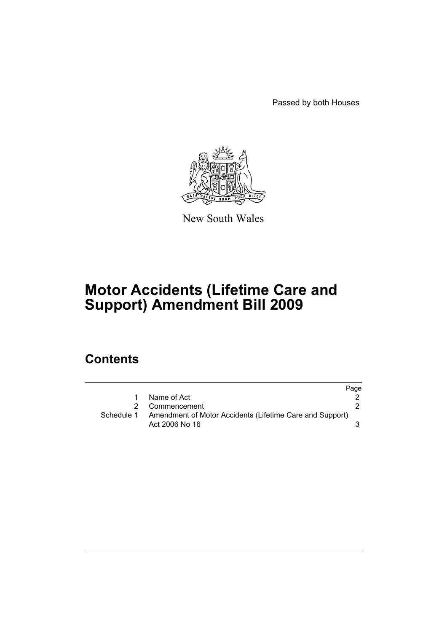Passed by both Houses



New South Wales

# **Motor Accidents (Lifetime Care and Support) Amendment Bill 2009**

## **Contents**

|            |                                                                            | Page |
|------------|----------------------------------------------------------------------------|------|
|            | Name of Act                                                                |      |
|            | 2 Commencement                                                             |      |
| Schedule 1 | Amendment of Motor Accidents (Lifetime Care and Support)<br>Act 2006 No 16 |      |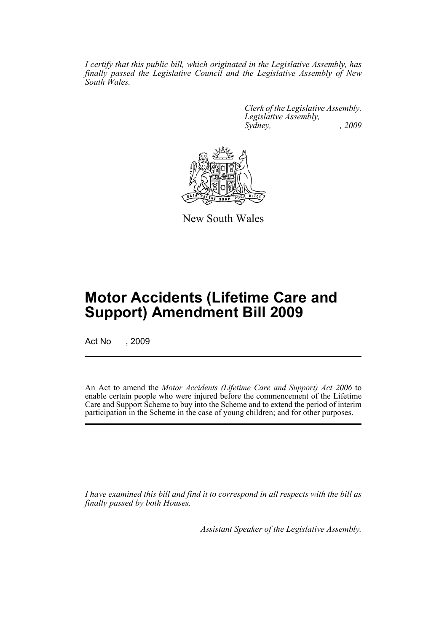*I certify that this public bill, which originated in the Legislative Assembly, has finally passed the Legislative Council and the Legislative Assembly of New South Wales.*

> *Clerk of the Legislative Assembly. Legislative Assembly, Sydney, , 2009*



New South Wales

## **Motor Accidents (Lifetime Care and Support) Amendment Bill 2009**

Act No , 2009

An Act to amend the *Motor Accidents (Lifetime Care and Support) Act 2006* to enable certain people who were injured before the commencement of the Lifetime Care and Support Scheme to buy into the Scheme and to extend the period of interim participation in the Scheme in the case of young children; and for other purposes.

*I have examined this bill and find it to correspond in all respects with the bill as finally passed by both Houses.*

*Assistant Speaker of the Legislative Assembly.*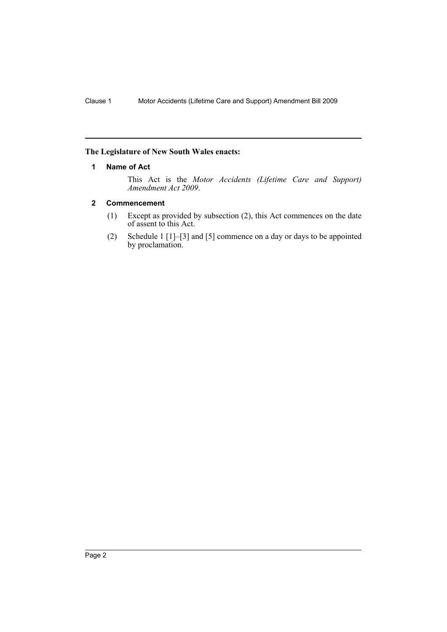#### <span id="page-3-0"></span>**The Legislature of New South Wales enacts:**

#### **1 Name of Act**

This Act is the *Motor Accidents (Lifetime Care and Support) Amendment Act 2009*.

#### <span id="page-3-1"></span>**2 Commencement**

- (1) Except as provided by subsection (2), this Act commences on the date of assent to this Act.
- (2) Schedule 1 [1]–[3] and [5] commence on a day or days to be appointed by proclamation.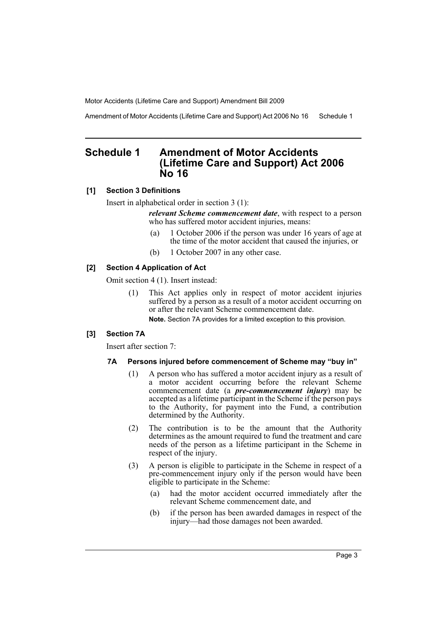Amendment of Motor Accidents (Lifetime Care and Support) Act 2006 No 16 Schedule 1

## <span id="page-4-0"></span>**Schedule 1 Amendment of Motor Accidents (Lifetime Care and Support) Act 2006 No 16**

#### **[1] Section 3 Definitions**

Insert in alphabetical order in section 3 (1):

*relevant Scheme commencement date*, with respect to a person who has suffered motor accident injuries, means:

- (a) 1 October 2006 if the person was under 16 years of age at the time of the motor accident that caused the injuries, or
- (b) 1 October 2007 in any other case.

#### **[2] Section 4 Application of Act**

Omit section 4 (1). Insert instead:

(1) This Act applies only in respect of motor accident injuries suffered by a person as a result of a motor accident occurring on or after the relevant Scheme commencement date. **Note.** Section 7A provides for a limited exception to this provision.

#### **[3] Section 7A**

Insert after section 7:

#### **7A Persons injured before commencement of Scheme may "buy in"**

- (1) A person who has suffered a motor accident injury as a result of a motor accident occurring before the relevant Scheme commencement date (a *pre-commencement injury*) may be accepted as a lifetime participant in the Scheme if the person pays to the Authority, for payment into the Fund, a contribution determined by the Authority.
- (2) The contribution is to be the amount that the Authority determines as the amount required to fund the treatment and care needs of the person as a lifetime participant in the Scheme in respect of the injury.
- (3) A person is eligible to participate in the Scheme in respect of a pre-commencement injury only if the person would have been eligible to participate in the Scheme:
	- (a) had the motor accident occurred immediately after the relevant Scheme commencement date, and
	- (b) if the person has been awarded damages in respect of the injury—had those damages not been awarded.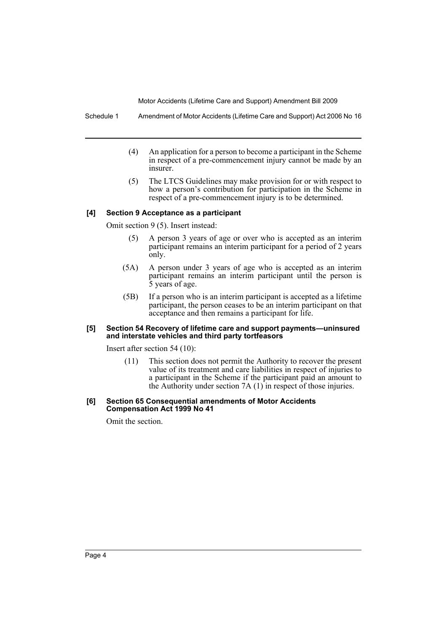Schedule 1 Amendment of Motor Accidents (Lifetime Care and Support) Act 2006 No 16

- (4) An application for a person to become a participant in the Scheme in respect of a pre-commencement injury cannot be made by an insurer.
- (5) The LTCS Guidelines may make provision for or with respect to how a person's contribution for participation in the Scheme in respect of a pre-commencement injury is to be determined.

#### **[4] Section 9 Acceptance as a participant**

Omit section 9 (5). Insert instead:

- (5) A person 3 years of age or over who is accepted as an interim participant remains an interim participant for a period of 2 years only.
- (5A) A person under 3 years of age who is accepted as an interim participant remains an interim participant until the person is 5 years of age.
- (5B) If a person who is an interim participant is accepted as a lifetime participant, the person ceases to be an interim participant on that acceptance and then remains a participant for life.

#### **[5] Section 54 Recovery of lifetime care and support payments—uninsured and interstate vehicles and third party tortfeasors**

Insert after section 54 (10):

(11) This section does not permit the Authority to recover the present value of its treatment and care liabilities in respect of injuries to a participant in the Scheme if the participant paid an amount to the Authority under section  $7A(1)$  in respect of those injuries.

#### **[6] Section 65 Consequential amendments of Motor Accidents Compensation Act 1999 No 41**

Omit the section.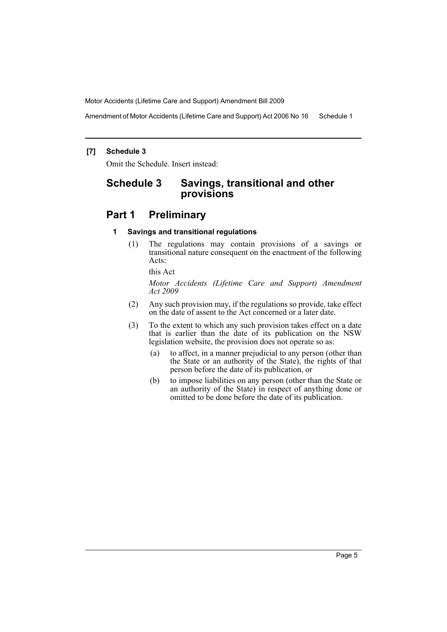Amendment of Motor Accidents (Lifetime Care and Support) Act 2006 No 16 Schedule 1

#### **[7] Schedule 3**

Omit the Schedule. Insert instead:

## **Schedule 3 Savings, transitional and other provisions**

### **Part 1 Preliminary**

#### **1 Savings and transitional regulations**

(1) The regulations may contain provisions of a savings or transitional nature consequent on the enactment of the following Acts:

this Act

*Motor Accidents (Lifetime Care and Support) Amendment Act 2009*

- (2) Any such provision may, if the regulations so provide, take effect on the date of assent to the Act concerned or a later date.
- (3) To the extent to which any such provision takes effect on a date that is earlier than the date of its publication on the NSW legislation website, the provision does not operate so as:
	- (a) to affect, in a manner prejudicial to any person (other than the State or an authority of the State), the rights of that person before the date of its publication, or
	- (b) to impose liabilities on any person (other than the State or an authority of the State) in respect of anything done or omitted to be done before the date of its publication.